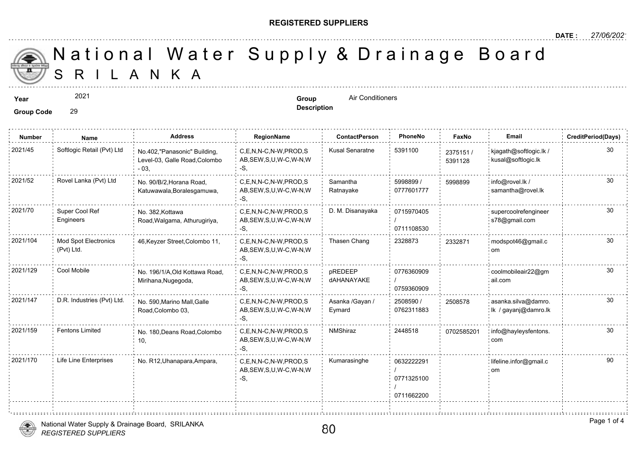#### **REGISTERED SUPPLIERS**

**Description**

A N K A National Water Supply & Drainage

### **Year Group** Air Conditioners

2021

### **Group Code** 29

**Number Name Address RegionName ContactPerson PhoneNo FaxNo Email CreditPeriod(Days)** C,E,N,N-C,N-W,PROD,S Kusal Senaratne 5391100 AB,SEW,S,U,W-C,W-N,W -S, 2021/45 Softlogic Retail (Pvt) Ltd <sub>No.402,"</sub>Panasonic" Building, C,E,N,N-C,N-W,PROD,S Kusal Senaratne 5391100 <sub>23751</sub> Level-03, Galle Road,Colombo - 03, 23751 539112 5998899 / 30 0777601777 Samantha Ratnayake 2021/52 Rovel Lanka (Pvt) Ltd <sub>No.</sub> 90/B/2, Horana Road, C,E,N,N-C,N-W,PROD,S Samantha 5998899 / 599889 AB,SEW,S,U,W-C,W-N,W -S, No. 90/B/2,Horana Road, Katuwawala,Boralesgamuwa, 599889 0715970405 / 0711108530 2021/70 Super Cool Ref No. 382 Kottawa C,E,N,N-C,N-W,PROD,S D. M. Disanayaka 0715970405 AB,SEW,S,U,W-C,W-N,W -S, No. 382,Kottawa Road,Walgama, Athurugiriya, Super Cool Ref Engineers C.E.N.N-C.N-W.PROD.S Thasen Chang 2328873 AB,SEW,S,U,W-C,W-N,W -S, Mod Spot Electronics 46,Keyzer Street,Colombo 11, 2021/104 modspot46@gmail.c (Pvt) Ltd. 233287 0776360909 / 0759360909 pREDEEP dAHANAYAKE C,E,N,N-C,N-W,PROD,S AB,SEW,S,U,W-C,W-N,W -S, 2021/129 Cool Mobile No. 196/1/A,Old Kottawa Road, C,E,N,N-C,N-W,PROD,S pREDEEP 0776360909 Mirihana,Nugegoda, 2508590 / 0762311883 Asanka /Gayan / Eymard C,E,N,N-C,N-W,PROD,S AB,SEW,S,U,W-C,W-N,W -S, 2021/147 D.R. Industries (Pvt) Ltd. and spon,Marino Mall,Galle C,E,N,N-C,N-W,PROD,S Asanka /Gayan / 2508590 / 250853 Road,Colombo 03, 25085 C,E,N,N-C,N-W,PROD,S NMShiraz 2448518 AB,SEW,S,U,W-C,W-N,W -S, 2021/159 Fentons Limited : No. 180,Deans Road,Colombo C,E,N,N-C,N-W,PROD,S : NMShiraz : 2448518 : 070258 10, 070258 0632222291 / 0771325100 / 0711662200 C,E,N,N-C,N-W,PROD,S Kumarasinghe AB,SEW,S,U,W-C,W-N,W -S, 2021/170 Life Line Enterprises No. R12, Uhanapara, Ampara,



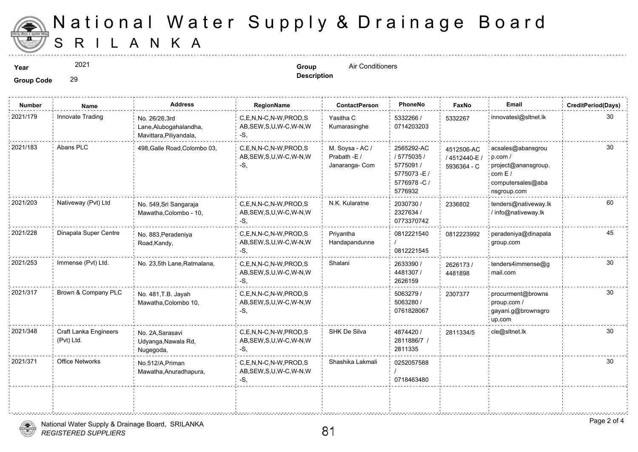

# S R I L A N K A National Water Supply & Drainage

2021

**Description**

**Year Group** Air Conditioners

**Group Code** 29

| <b>Number</b> | Name                                | <b>Address</b>                                                     | RegionName                                                | <b>ContactPerson</b>                              | PhoneNo                                                                       | Faxl                        |
|---------------|-------------------------------------|--------------------------------------------------------------------|-----------------------------------------------------------|---------------------------------------------------|-------------------------------------------------------------------------------|-----------------------------|
| 2021/179      | Innovate Trading                    | No. 26/26,3rd<br>Lane, Alubogahalandha,<br>Mavittara, Piliyandala, | C,E,N,N-C,N-W,PROD,S<br>AB, SEW, S, U, W-C, W-N, W<br>-S. | Yasitha C<br>Kumarasinghe                         | 5332266 /<br>0714203203                                                       | 533226                      |
| 2021/183      | Abans PLC                           | 498, Galle Road, Colombo 03,                                       | C,E,N,N-C,N-W,PROD,S<br>AB, SEW, S, U, W-C, W-N, W<br>-S, | M. Soysa - AC /<br>Prabath -E /<br>Janaranga- Com | 2565292-AC<br>/ 5775035 /<br>5775091 /<br>5775073-E/<br>5776978-C/<br>5776932 | 451250<br>/ 45124<br>593636 |
| 2021/203      | Nativeway (Pvt) Ltd                 | No. 549, Sri Sangaraja<br>Mawatha, Colombo - 10,                   | C.E.N.N-C.N-W.PROD.S<br>AB, SEW, S, U, W-C, W-N, W<br>-S, | N.K. Kularatne                                    | 2030730 /<br>2327634 /<br>0773370742                                          | 233680                      |
| 2021/228      | Dinapala Super Centre               | No. 883, Peradeniya<br>Road, Kandy,                                | C,E,N,N-C,N-W,PROD,S<br>AB, SEW, S, U, W-C, W-N, W<br>-S, | Priyantha<br>Handapandunne                        | 0812221540<br>0812221545                                                      | 081222                      |
| 2021/253      | Immense (Pvt) Ltd.                  | No. 23,5th Lane, Ratmalana,                                        | C,E,N,N-C,N-W,PROD,S<br>AB, SEW, S, U, W-C, W-N, W<br>-S, | Shalani                                           | 2633390 /<br>4481307 /<br>2626159                                             | 262617<br>448189            |
| 2021/317      | Brown & Company PLC                 | No. 481, T.B. Jayah<br>Mawatha, Colombo 10,                        | C,E,N,N-C,N-W,PROD,S<br>AB, SEW, S, U, W-C, W-N, W<br>-S, |                                                   | 5063279 /<br>5063280 /<br>0761828067                                          | 230737                      |
| 2021/348      | Craft Lanka Engineers<br>(Pvt) Ltd. | No. 2A, Sarasavi<br>Udyanga, Nawala Rd,<br>Nugegoda,               | C,E,N,N-C,N-W,PROD,S<br>AB, SEW, S, U, W-C, W-N, W<br>-S. | SHK De Silva                                      | 4874420 /<br>2811886/7 /<br>2811335                                           | 281133                      |
| 2021/371      | Office Networks                     | No.512/A, Priman<br>Mawatha, Anuradhapura,                         | C.E.N.N-C.N-W.PROD.S<br>AB, SEW, S, U, W-C, W-N, W<br>-S, | Shashika Lakmali                                  | 0252057588<br>0718463480                                                      |                             |
|               |                                     |                                                                    |                                                           |                                                   |                                                                               |                             |

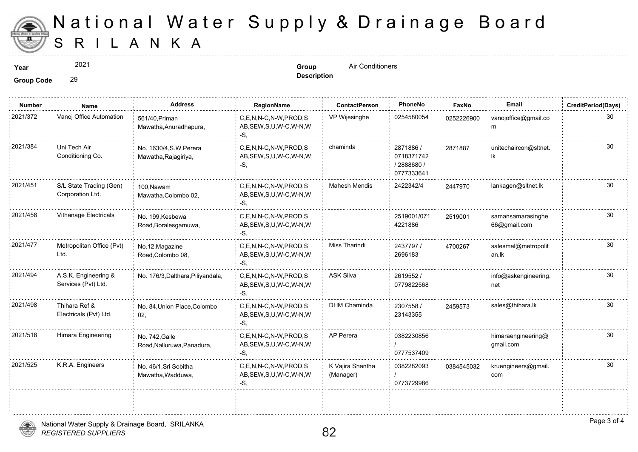

# S R I L A N K A National Water Supply & Drainage

2021

**Description**

**Year Conditioners Prophetical Conditioners Group Air Conditioners** 

**Group Code** 29

| <b>Number</b> | Name                                        | <b>Address</b>                                  | RegionName                                                   | <b>ContactPerson</b>          | PhoneNo                                             | Faxl   |
|---------------|---------------------------------------------|-------------------------------------------------|--------------------------------------------------------------|-------------------------------|-----------------------------------------------------|--------|
| 2021/372      | Vanoj Office Automation                     | 561/40, Priman<br>Mawatha, Anuradhapura,        | C.E.N.N-C.N-W.PROD.S<br>AB, SEW, S, U, W-C, W-N, W<br>-S,    | VP Wijesinghe                 | 0254580054                                          | 025222 |
| 2021/384      | Uni Tech Air<br>Conditioning Co.            | No. 1630/4, S.W. Perera<br>Mawatha, Rajagiriya, | C,E,N,N-C,N-W,PROD,S<br>AB, SEW, S, U, W-C, W-N, W<br>$-S$ , | chaminda                      | 2871886 /<br>0718371742<br>/2888680 /<br>0777333641 | 287188 |
| 2021/451      | S/L State Trading (Gen)<br>Corporation Ltd. | 100.Nawam<br>Mawatha, Colombo 02,               | C.E.N.N-C.N-W.PROD.S<br>AB, SEW, S, U, W-C, W-N, W<br>$-S$ . | <b>Mahesh Mendis</b>          | 2422342/4                                           | 244797 |
| 2021/458      | Vithanage Electricals                       | No. 199, Kesbewa<br>Road, Boralesgamuwa,        | C,E,N,N-C,N-W,PROD,S<br>AB, SEW, S, U, W-C, W-N, W<br>$-S$ . |                               | 2519001/071<br>4221886                              | 251900 |
| 2021/477      | Metropolitan Office (Pvt)<br>Ltd.           | No.12, Magazine<br>Road, Colombo 08,            | C.E.N.N-C.N-W.PROD.S<br>AB, SEW, S, U, W-C, W-N, W<br>-S,    | <b>Miss Tharindi</b>          | 2437797/<br>2696183                                 | 470026 |
| 2021/494      | A.S.K. Engineering &<br>Services (Pvt) Ltd. | No. 176/3, Dalthara, Piliyandala,               | C,E,N,N-C,N-W,PROD,S<br>AB, SEW, S, U, W-C, W-N, W<br>$-S.$  | <b>ASK Silva</b>              | 2619552 /<br>0779822568                             |        |
| 2021/498      | Thihara Ref &<br>Electricals (Pvt) Ltd.     | No. 84, Union Place, Colombo<br>02,             | C.E.N.N-C.N-W.PROD.S<br>AB, SEW, S, U, W-C, W-N, W<br>$-S$ , | <b>DHM Chaminda</b>           | 2307558 /<br>23143355                               | 245957 |
| 2021/518      | Himara Engineering                          | No. 742, Galle<br>Road, Nalluruwa, Panadura,    | C,E,N,N-C,N-W,PROD,S<br>AB, SEW, S, U, W-C, W-N, W<br>-S.    | AP Perera                     | 0382230856<br>0777537409                            |        |
| 2021/525      | K.R.A. Engineers                            | No. 46/1, Sri Sobitha<br>Mawatha, Wadduwa,      | C,E,N,N-C,N-W,PROD,S<br>AB, SEW, S, U, W-C, W-N, W<br>$-S$ . | K Vajira Shantha<br>(Manager) | 0382282093<br>0773729986                            | 038454 |
|               |                                             |                                                 |                                                              |                               |                                                     |        |